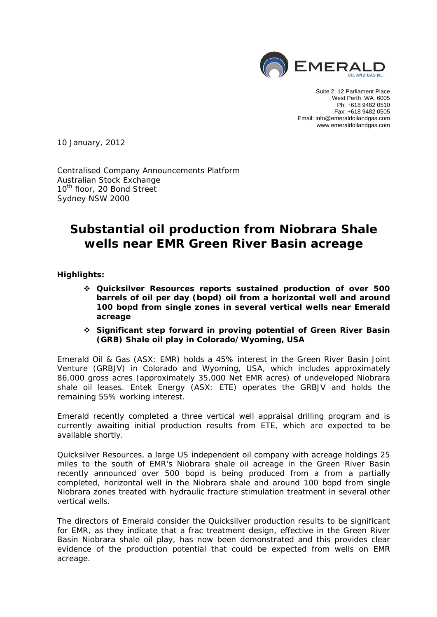

Suite 2, 12 Parliament Place West Perth WA 6005 Ph: +618 9482 0510 Fax: +618 9482 0505 Email: info@emeraldoilandgas.com www.emeraldoilandgas.com

10 January, 2012

Centralised Company Announcements Platform Australian Stock Exchange 10<sup>th</sup> floor, 20 Bond Street Sydney NSW 2000

# **Substantial oil production from Niobrara Shale wells near EMR Green River Basin acreage**

**Highlights:** 

- **Quicksilver Resources reports sustained production of over 500 barrels of oil per day (bopd) oil from a horizontal well and around 100 bopd from single zones in several vertical wells near Emerald acreage**
- **Significant step forward in proving potential of Green River Basin (GRB) Shale oil play in Colorado/Wyoming, USA**

Emerald Oil & Gas (ASX: EMR) holds a 45% interest in the Green River Basin Joint Venture (GRBJV) in Colorado and Wyoming, USA, which includes approximately 86,000 gross acres (approximately 35,000 Net EMR acres) of undeveloped Niobrara shale oil leases. Entek Energy (ASX: ETE) operates the GRBJV and holds the remaining 55% working interest.

Emerald recently completed a three vertical well appraisal drilling program and is currently awaiting initial production results from ETE, which are expected to be available shortly.

Quicksilver Resources, a large US independent oil company with acreage holdings 25 miles to the south of EMR's Niobrara shale oil acreage in the Green River Basin recently announced over 500 bopd is being produced from a from a partially completed, horizontal well in the Niobrara shale and around 100 bopd from single Niobrara zones treated with hydraulic fracture stimulation treatment in several other vertical wells.

The directors of Emerald consider the Quicksilver production results to be significant for EMR, as they indicate that a frac treatment design, effective in the Green River Basin Niobrara shale oil play, has now been demonstrated and this provides clear evidence of the production potential that could be expected from wells on EMR acreage.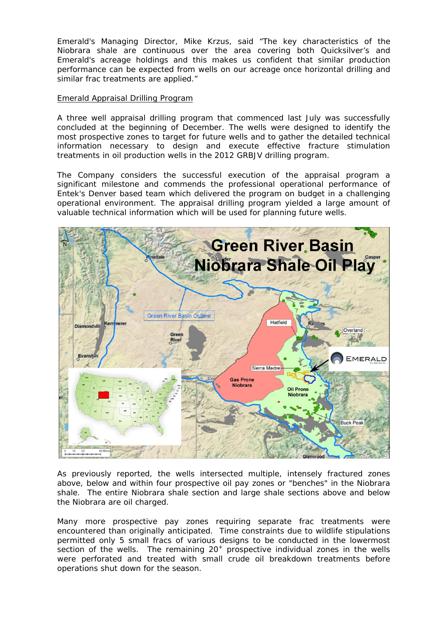Emerald's Managing Director, Mike Krzus, said "The key characteristics of the Niobrara shale are continuous over the area covering both Quicksilver's and Emerald's acreage holdings and this makes us confident that similar production performance can be expected from wells on our acreage once horizontal drilling and similar frac treatments are applied."

# Emerald Appraisal Drilling Program

A three well appraisal drilling program that commenced last July was successfully concluded at the beginning of December. The wells were designed to identify the most prospective zones to target for future wells and to gather the detailed technical information necessary to design and execute effective fracture stimulation treatments in oil production wells in the 2012 GRBJV drilling program.

The Company considers the successful execution of the appraisal program a significant milestone and commends the professional operational performance of Entek's Denver based team which delivered the program on budget in a challenging operational environment. The appraisal drilling program yielded a large amount of valuable technical information which will be used for planning future wells.



As previously reported, the wells intersected multiple, intensely fractured zones above, below and within four prospective oil pay zones or "benches" in the Niobrara shale. The entire Niobrara shale section and large shale sections above and below the Niobrara are oil charged.

Many more prospective pay zones requiring separate frac treatments were encountered than originally anticipated. Time constraints due to wildlife stipulations permitted only 5 small fracs of various designs to be conducted in the lowermost section of the wells. The remaining  $20<sup>+</sup>$  prospective individual zones in the wells were perforated and treated with small crude oil breakdown treatments before operations shut down for the season.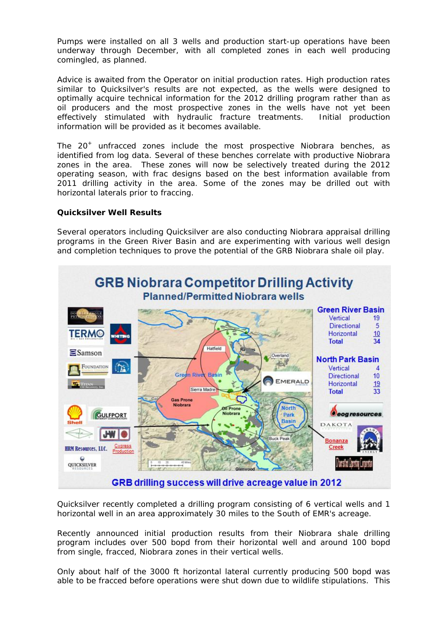Pumps were installed on all 3 wells and production start-up operations have been underway through December, with all completed zones in each well producing comingled, as planned.

Advice is awaited from the Operator on initial production rates. High production rates similar to Quicksilver's results are not expected, as the wells were designed to optimally acquire technical information for the 2012 drilling program rather than as oil producers and the most prospective zones in the wells have not yet been effectively stimulated with hydraulic fracture treatments. Initial production information will be provided as it becomes available.

The  $20^+$  unfracced zones include the most prospective Niobrara benches, as identified from log data. Several of these benches correlate with productive Niobrara zones in the area. These zones will now be selectively treated during the 2012 operating season, with frac designs based on the best information available from 2011 drilling activity in the area. Some of the zones may be drilled out with horizontal laterals prior to fraccing.

# **Quicksilver Well Results**

Several operators including Quicksilver are also conducting Niobrara appraisal drilling programs in the Green River Basin and are experimenting with various well design and completion techniques to prove the potential of the GRB Niobrara shale oil play.



Quicksilver recently completed a drilling program consisting of 6 vertical wells and 1 horizontal well in an area approximately 30 miles to the South of EMR's acreage.

Recently announced initial production results from their Niobrara shale drilling program includes over 500 bopd from their horizontal well and around 100 bopd from single, fracced, Niobrara zones in their vertical wells.

Only about half of the 3000 ft horizontal lateral currently producing 500 bopd was able to be fracced before operations were shut down due to wildlife stipulations. This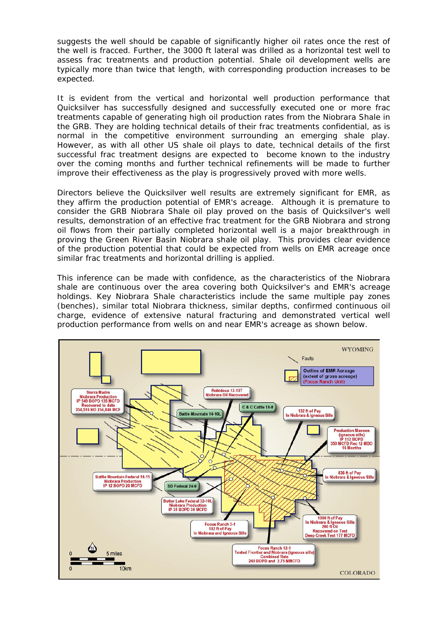suggests the well should be capable of significantly higher oil rates once the rest of the well is fracced. Further, the 3000 ft lateral was drilled as a horizontal test well to assess frac treatments and production potential. Shale oil development wells are typically more than twice that length, with corresponding production increases to be expected.

It is evident from the vertical and horizontal well production performance that Quicksilver has successfully designed and successfully executed one or more frac treatments capable of generating high oil production rates from the Niobrara Shale in the GRB. They are holding technical details of their frac treatments confidential, as is normal in the competitive environment surrounding an emerging shale play. However, as with all other US shale oil plays to date, technical details of the first successful frac treatment designs are expected to become known to the industry over the coming months and further technical refinements will be made to further improve their effectiveness as the play is progressively proved with more wells.

Directors believe the Quicksilver well results are extremely significant for EMR, as they affirm the production potential of EMR's acreage. Although it is premature to consider the GRB Niobrara Shale oil play proved on the basis of Quicksilver's well results, demonstration of an effective frac treatment for the GRB Niobrara and strong oil flows from their partially completed horizontal well is a major breakthrough in proving the Green River Basin Niobrara shale oil play. This provides clear evidence of the production potential that could be expected from wells on EMR acreage once similar frac treatments and horizontal drilling is applied.

This inference can be made with confidence, as the characteristics of the Niobrara shale are continuous over the area covering both Quicksilver's and EMR's acreage holdings. Key Niobrara Shale characteristics include the same multiple pay zones (benches), similar total Niobrara thickness, similar depths, confirmed continuous oil charge, evidence of extensive natural fracturing and demonstrated vertical well production performance from wells on and near EMR's acreage as shown below.

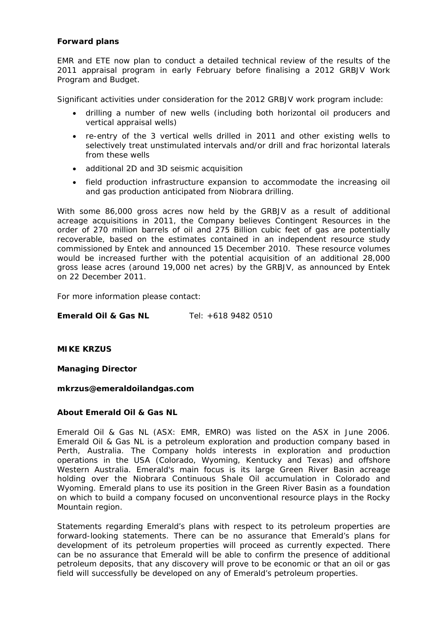# **Forward plans**

EMR and ETE now plan to conduct a detailed technical review of the results of the 2011 appraisal program in early February before finalising a 2012 GRBJV Work Program and Budget.

Significant activities under consideration for the 2012 GRBJV work program include:

- drilling a number of new wells (including both horizontal oil producers and vertical appraisal wells)
- re-entry of the 3 vertical wells drilled in 2011 and other existing wells to selectively treat unstimulated intervals and/or drill and frac horizontal laterals from these wells
- additional 2D and 3D seismic acquisition
- field production infrastructure expansion to accommodate the increasing oil and gas production anticipated from Niobrara drilling.

With some 86,000 gross acres now held by the GRBJV as a result of additional acreage acquisitions in 2011, the Company believes Contingent Resources in the order of 270 million barrels of oil and 275 Billion cubic feet of gas are potentially recoverable, based on the estimates contained in an independent resource study commissioned by Entek and announced 15 December 2010. These resource volumes would be increased further with the potential acquisition of an additional 28,000 gross lease acres (around 19,000 net acres) by the GRBJV, as announced by Entek on 22 December 2011.

For more information please contact:

**Emerald Oil & Gas NL** Tel: +618 9482 0510

**MIKE KRZUS** 

**Managing Director** 

*mkrzus@emeraldoilandgas.com* 

# **About Emerald Oil & Gas NL**

Emerald Oil & Gas NL (ASX: EMR, EMRO) was listed on the ASX in June 2006. Emerald Oil & Gas NL is a petroleum exploration and production company based in Perth, Australia. The Company holds interests in exploration and production operations in the USA (Colorado, Wyoming, Kentucky and Texas) and offshore Western Australia. Emerald's main focus is its large Green River Basin acreage holding over the Niobrara Continuous Shale Oil accumulation in Colorado and Wyoming. Emerald plans to use its position in the Green River Basin as a foundation on which to build a company focused on unconventional resource plays in the Rocky Mountain region.

*Statements regarding Emerald's plans with respect to its petroleum properties are forward-looking statements. There can be no assurance that Emerald's plans for development of its petroleum properties will proceed as currently expected. There can be no assurance that Emerald will be able to confirm the presence of additional petroleum deposits, that any discovery will prove to be economic or that an oil or gas field will successfully be developed on any of Emerald's petroleum properties.*